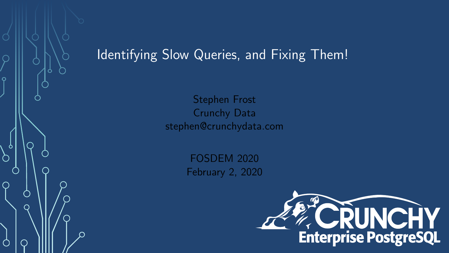#### Identifying Slow Queries, and Fixing Them!

 $\circ$ 

Stephen Frost Crunchy Data stephen@crunchydata.com

> FOSDEM 2020 February 2, 2020

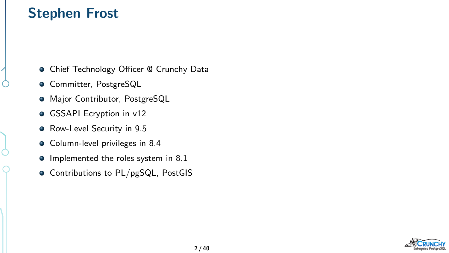#### Stephen Frost

**• Chief Technology Officer @ Crunchy Data** 

- **· Committer, PostgreSQL**
- **•** Major Contributor, PostgreSQL
- GSSAPI Ecryption in v12
- Row-Level Security in 9.5
- Column-level privileges in 8.4
- Implemented the roles system in 8.1
- Contributions to PL/pgSQL, PostGIS

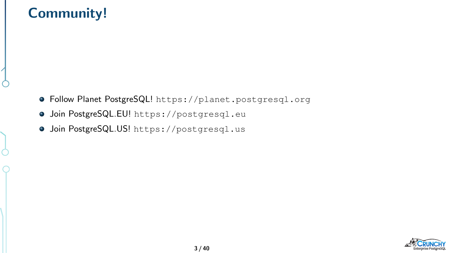## Community!

- Follow Planet PostgreSQL! <https://planet.postgresql.org>
- Join PostgreSQL.EU! <https://postgresql.eu>
- Join PostgreSQL.US! <https://postgresql.us>

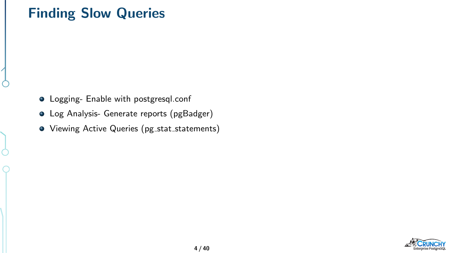#### Finding Slow Queries

- **•** Logging- Enable with postgresql.conf
- Log Analysis- Generate reports (pgBadger)
- Viewing Active Queries (pg\_stat\_statements)

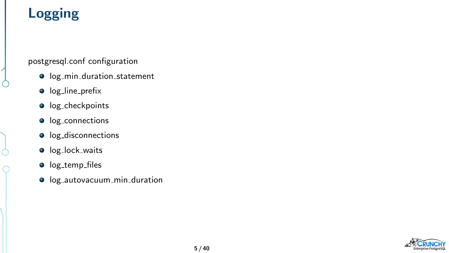# Logging

postgresql.conf configuration

- $\bullet$  log\_min\_duration\_statement
- $\bullet$  log\_line\_prefix
- **o** log\_checkpoints
- $\bullet$  log\_connections
- log\_disconnections
- **o** log\_lock\_waits
- **o** log\_temp\_files
- $\bullet$  log\_autovacuum\_min\_duration

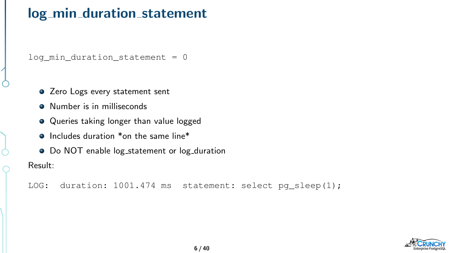#### log\_min\_duration\_statement

log\_min\_duration\_statement = 0

- Zero Logs every statement sent
- **Q** Number is in milliseconds
- Queries taking longer than value logged
- **O** Includes duration \*on the same line\*
- Do NOT enable log\_statement or log\_duration

Result:

LOG: duration: 1001.474 ms statement: select pg\_sleep(1);

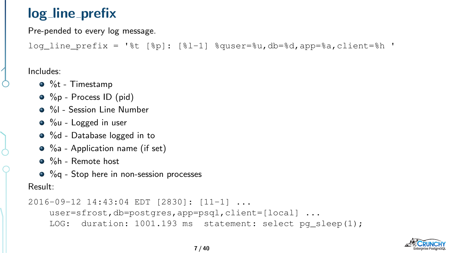## log\_line\_prefix

Pre-pended to every log message.

log\_line\_prefix = '%t [%p]:  $[%1-1]$  %quser=%u,db=%d,app=%a,client=%h '

Includes:

- %t Timestamp
- %p Process ID (pid)
- %I Session Line Number
- %u Logged in user
- %d Database logged in to
- $\bullet$  %a Application name (if set)
- %h Remote host
- %q Stop here in non-session processes

#### Result:

```
2016-09-12 14:43:04 EDT [2830]: [11-1] ...
    user=sfrost,db=postgres,app=psql,client=[local] ...
    LOG: duration: 1001.193 ms statement: select pq_sleep(1);
```
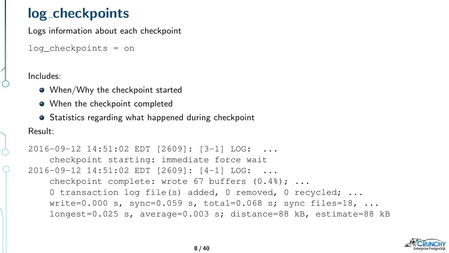#### log\_checkpoints

Logs information about each checkpoint

```
log_checkpoints = on
```
Includes:

- When/Why the checkpoint started
- When the checkpoint completed
- **•** Statistics regarding what happened during checkpoint

#### Result:

```
2016-09-12 14:51:02 EDT [2609]: [3-1] LOG: ...
    checkpoint starting: immediate force wait
2016-09-12 14:51:02 EDT [2609]: [4-1] LOG: ...
    checkpoint complete: wrote 67 buffers (0.4%); ...
    0 transaction log file(s) added, 0 removed, 0 recycled; ...
    write=0.000 s, sync=0.059 s, total=0.068 s; sync files=18, ...longest=0.025 s, average=0.003 s; distance=88 kB, estimate=88 kB
```
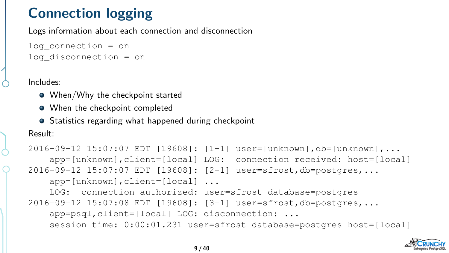# Connection logging

Logs information about each connection and disconnection

```
log_connection = on
log disconnection = on
```
Includes:

- When/Why the checkpoint started
- When the checkpoint completed
- **•** Statistics regarding what happened during checkpoint

#### Result:

```
2016-09-12 15:07:07 EDT [19608]: [1-1] user=[unknown],db=[unknown],...
    app=[unknown],client=[local] LOG: connection received: host=[local]
2016-09-12 15:07:07 EDT [19608]: [2-1] user=sfrost,db=postgres,...
    app=[unknown],client=[local] ...
    LOG: connection authorized: user=sfrost database=postgres
2016-09-12 15:07:08 EDT [19608]: [3-1] user=sfrost,db=postgres,...
    app=psql,client=[local] LOG: disconnection: ...
    session time: 0:00:01.231 user=sfrost database=postgres host=[local]
```
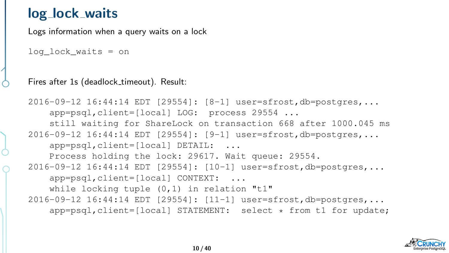#### log lock waits

Logs information when a query waits on a lock

```
log_lock_waits = on
```
Fires after 1s (deadlock\_timeout). Result:

```
2016-09-12 16:44:14 EDT [29554]: [8-1] user=sfrost,db=postgres,...
    app=psql,client=[local] LOG: process 29554 ...
    still waiting for ShareLock on transaction 668 after 1000.045 ms
2016-09-12 16:44:14 EDT [29554]: [9-1] user=sfrost,db=postgres,...
    app=psql,client=[local] DETAIL: ...
    Process holding the lock: 29617. Wait queue: 29554.
2016-09-12 16:44:14 EDT [29554]: [10-1] user=sfrost,db=postgres,...
    app=psql,client=[local] CONTEXT: ...
    while locking tuple (0,1) in relation "t1"
2016-09-12 16:44:14 EDT [29554]: [11-1] user=sfrost,db=postgres,...
    app=psql,client=[local] STATEMENT: select * from t1 for update;
```
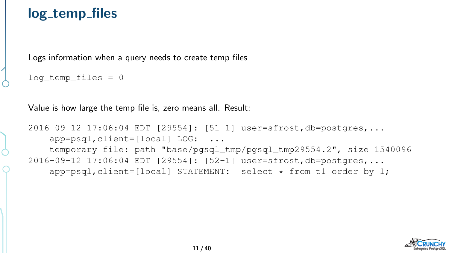#### log\_temp\_files

Logs information when a query needs to create temp files

```
log_temp_files = 0
```
Value is how large the temp file is, zero means all. Result:

```
2016-09-12 17:06:04 EDT [29554]: [51-1] user=sfrost,db=postgres,...
    app=psql,client=[local] LOG: ...
    temporary file: path "base/pgsql_tmp/pgsql_tmp29554.2", size 1540096
2016-09-12 17:06:04 EDT [29554]: [52-1] user=sfrost,db=postgres,...
    app=psql,client=[local] STATEMENT: select * from t1 order by 1;
```
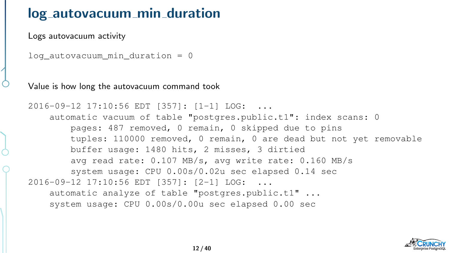#### log autovacuum min duration

Logs autovacuum activity

```
log_autovacuum min duration = 0
```
Value is how long the autovacuum command took

```
2016-09-12 17:10:56 EDT [357]: [1-1] LOG: ...
    automatic vacuum of table "postgres.public.t1": index scans: 0
       pages: 487 removed, 0 remain, 0 skipped due to pins
       tuples: 110000 removed, 0 remain, 0 are dead but not yet removable
       buffer usage: 1480 hits, 2 misses, 3 dirtied
       avg read rate: 0.107 MB/s, avg write rate: 0.160 MB/s
       system usage: CPU 0.00s/0.02u sec elapsed 0.14 sec
2016-09-12 17:10:56 EDT [357]: [2-1] LOG: ...
    automatic analyze of table "postgres.public.t1" ...
    system usage: CPU 0.00s/0.00u sec elapsed 0.00 sec
```
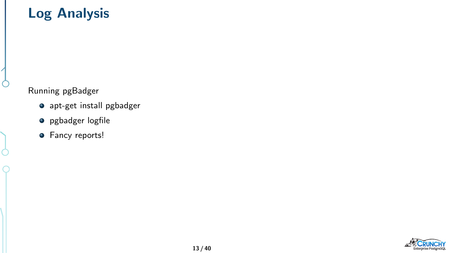# Log Analysis

Running pgBadger

Ò

Ò

- apt-get install pgbadger
- **·** pgbadger logfile
- **•** Fancy reports!

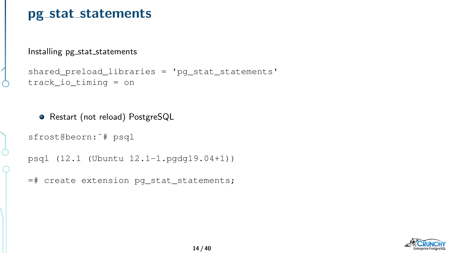Installing pg stat statements

```
shared_preload_libraries = 'pg_stat_statements'
track_io_timing = on
```
● Restart (not reload) PostgreSQL

sfrost@beorn:˜# psql

Ċ

```
psql (12.1 (Ubuntu 12.1-1.pgdg19.04+1))
```
=# create extension pg\_stat\_statements;

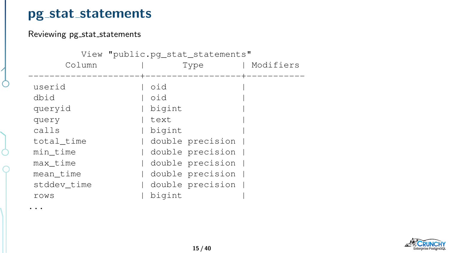#### Reviewing pg\_stat\_statements

...

| View "public.pq_stat_statements" |      |                  |  |           |  |
|----------------------------------|------|------------------|--|-----------|--|
| Column                           |      | Type             |  | Modifiers |  |
|                                  |      |                  |  |           |  |
| userid                           | oid  |                  |  |           |  |
| dbid                             | oid  |                  |  |           |  |
| queryid                          |      | bigint           |  |           |  |
| query                            | text |                  |  |           |  |
| calls                            |      | bigint           |  |           |  |
| total time                       |      | double precision |  |           |  |
| min_time                         |      | double precision |  |           |  |
| max_time                         |      | double precision |  |           |  |
| mean_time                        |      | double precision |  |           |  |
| stddev time                      |      | double precision |  |           |  |
| rows                             |      | bigint           |  |           |  |

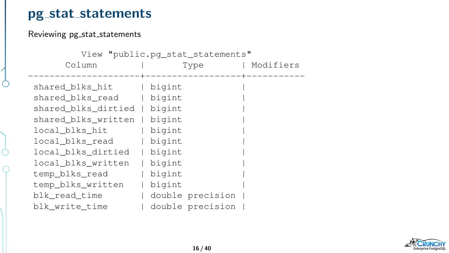#### Reviewing pg\_stat\_statements

| View "public.pq_stat_statements" |  |        |                  |           |  |  |
|----------------------------------|--|--------|------------------|-----------|--|--|
| Column                           |  | Type   |                  | Modifiers |  |  |
|                                  |  |        |                  |           |  |  |
| shared blks hit                  |  | bigint |                  |           |  |  |
| shared blks_read                 |  | bigint |                  |           |  |  |
| shared blks_dirtied              |  | bigint |                  |           |  |  |
| shared blks written              |  | bigint |                  |           |  |  |
| local blks hit                   |  | bigint |                  |           |  |  |
| local_blks_read                  |  | bigint |                  |           |  |  |
| local_blks_dirtied               |  | bigint |                  |           |  |  |
| local blks written               |  | bigint |                  |           |  |  |
| temp_blks_read                   |  | bigint |                  |           |  |  |
| temp_blks_written                |  | bigint |                  |           |  |  |
| blk_read_time                    |  |        | double precision |           |  |  |
| blk write time                   |  |        | double precision |           |  |  |

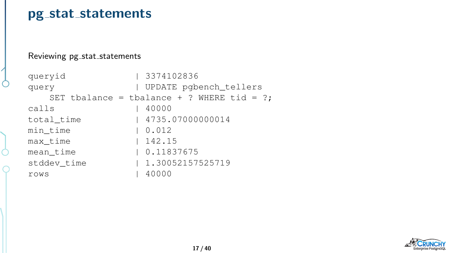#### Reviewing pg\_stat\_statements

```
queryid | 3374102836
query | UPDATE pgbench_tellers
  SET tbalance = tbalance + ? WHERE tid = ?;
calls | 40000
total_time | 4735.07000000014
min time | 0.012
max_time | 142.15
mean time | 0.11837675stddev_time | 1.30052157525719
rows | 40000
```
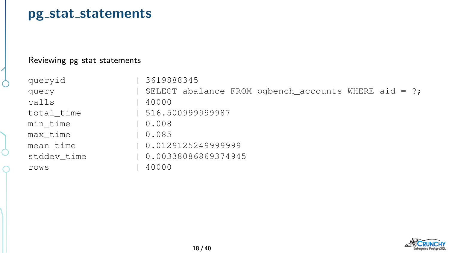#### Reviewing pg\_stat\_statements

Ċ

| queryid     | 3619888345                                           |
|-------------|------------------------------------------------------|
| query       | SELECT abalance FROM pgbench accounts WHERE aid = ?; |
| calls       | 40000                                                |
| total time  | 516.500999999987                                     |
| min time    | $\begin{array}{cc} 0.008 \end{array}$                |
| max time    | l 0.085                                              |
| mean_time   | 0.0129125249999999                                   |
| stddev time | 0.00338086869374945                                  |
| rows        | 40000                                                |

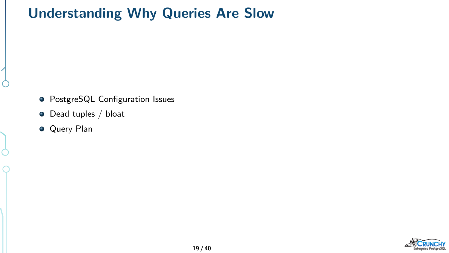# Understanding Why Queries Are Slow

- **•** PostgreSQL Configuration Issues
- Dead tuples / bloat
- **Query Plan**

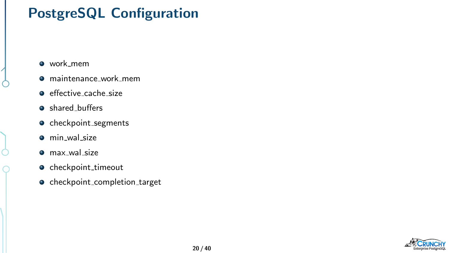# PostgreSQL Configuration

- work\_mem
- maintenance\_work\_mem
- $\bullet$  effective\_cache\_size
- shared\_buffers
- checkpoint\_segments
- **o** min\_wal\_size
- $\bullet$  max\_wal\_size
- checkpoint\_timeout
- **o** checkpoint\_completion\_target

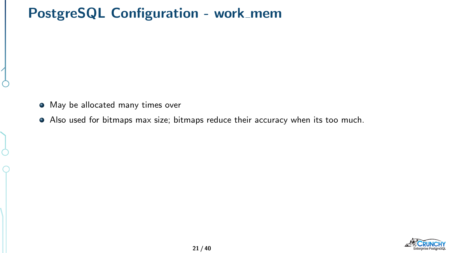## PostgreSQL Configuration - work\_mem

- $\bullet$  May be allocated many times over
- Also used for bitmaps max size; bitmaps reduce their accuracy when its too much.

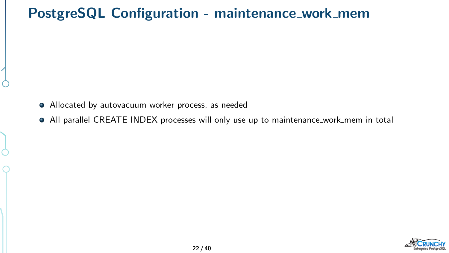## PostgreSQL Configuration - maintenance\_work\_mem

- Allocated by autovacuum worker process, as needed
- All parallel CREATE INDEX processes will only use up to maintenance work mem in total

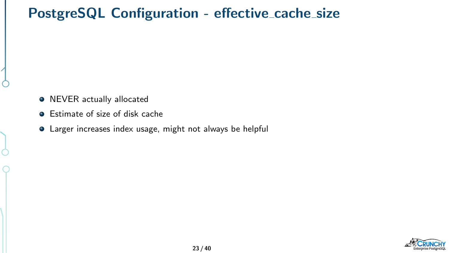## PostgreSQL Configuration - effective\_cache\_size

- NEVER actually allocated
- **•** Estimate of size of disk cache
- Larger increases index usage, might not always be helpful

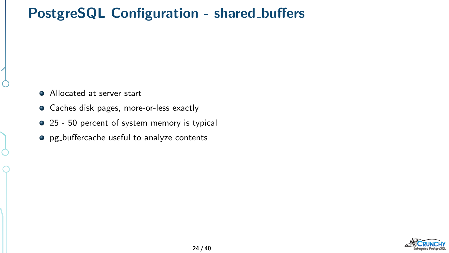## PostgreSQL Configuration - shared buffers

- Allocated at server start
- Caches disk pages, more-or-less exactly
- 25 50 percent of system memory is typical
- pg buffercache useful to analyze contents

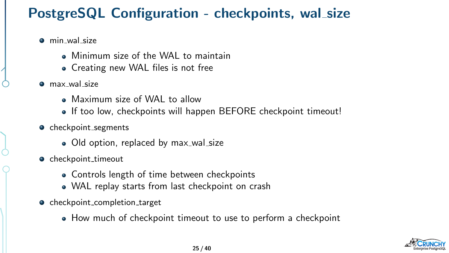## PostgreSQL Configuration - checkpoints, wal size

- **o** min wal size
	- Minimum size of the WAL to maintain
	- Creating new WAL files is not free
- **o** max wal size
	- Maximum size of WAL to allow
	- If too low, checkpoints will happen BEFORE checkpoint timeout!
- checkpoint\_segments
	- Old option, replaced by max\_wal\_size
- $\bullet$  checkpoint\_timeout
	- Controls length of time between checkpoints
	- WAL replay starts from last checkpoint on crash
- **o** checkpoint\_completion\_target
	- How much of checkpoint timeout to use to perform a checkpoint

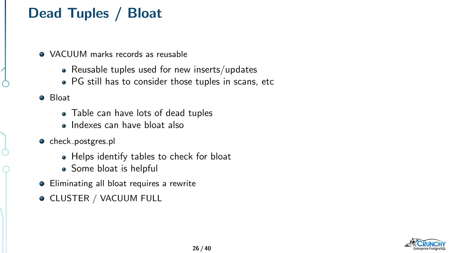# Dead Tuples / Bloat

- VACUUM marks records as reusable
	- Reusable tuples used for new inserts/updates
	- PG still has to consider those tuples in scans, etc
- **O** Bloat
	- Table can have lots of dead tuples
	- **Indexes can have bloat also**
- check\_postgres.pl
	- Helps identify tables to check for bloat
	- Some bloat is helpful
- **•** Eliminating all bloat requires a rewrite
- **O CLUSTER / VACUUM FULL**

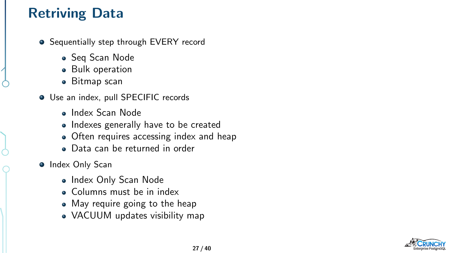# Retriving Data

- Sequentially step through EVERY record
	- Seg Scan Node
	- **•** Bulk operation
	- Bitmap scan
- Use an index, pull SPECIFIC records
	- Index Scan Node
	- Indexes generally have to be created
	- Often requires accessing index and heap
	- Data can be returned in order
- **•** Index Only Scan
	- Index Only Scan Node
	- Columns must be in index
	- May require going to the heap
	- VACUUM updates visibility map

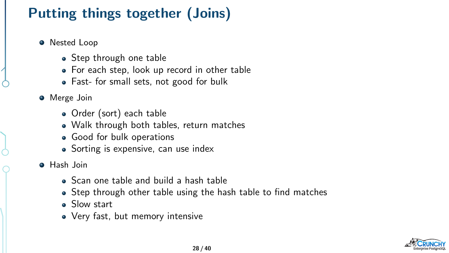# Putting things together (Joins)

- **•** Nested Loop
	- Step through one table
	- For each step, look up record in other table
	- Fast- for small sets, not good for bulk
- **•** Merge Join
	- Order (sort) each table
	- Walk through both tables, return matches
	- Good for bulk operations
	- Sorting is expensive, can use index
- **A** Hash Join
	- Scan one table and build a hash table
	- Step through other table using the hash table to find matches
	- Slow start
	- Very fast, but memory intensive

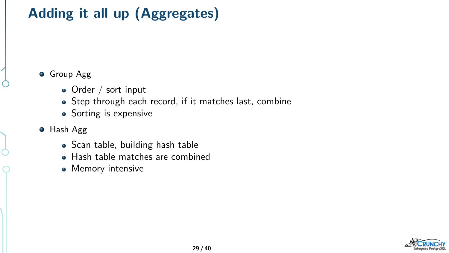# Adding it all up (Aggregates)

**•** Group Agg

- Order / sort input
- Step through each record, if it matches last, combine
- Sorting is expensive
- **•** Hash Agg
	- Scan table, building hash table
	- Hash table matches are combined
	- Memory intensive

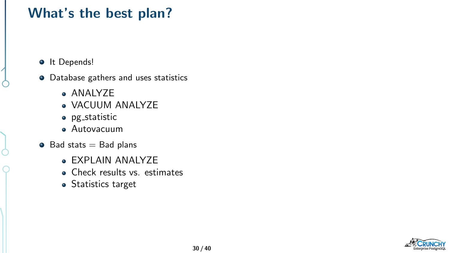## What's the best plan?

- $\bullet$  It Depends!
- **•** Database gathers and uses statistics
	- ANALYZE
	- VACUUM ANALYZE
	- pg statistic
	- Autovacuum
- $\bullet$  Bad stats = Bad plans
	- EXPLAIN ANALYZE
	- Check results vs. estimates
	- **•** Statistics target

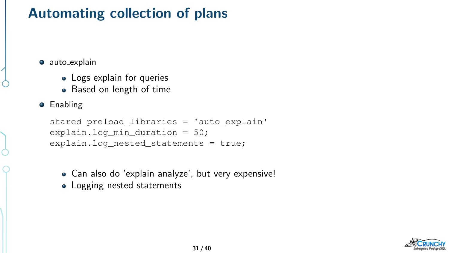# Automating collection of plans

- **auto\_explain** 
	- Logs explain for queries
	- Based on length of time
- **•** Enabling

```
shared preload libraries = 'auto explain'
explain.log min duration = 50;
explain.log_nested_statements = true;
```
- Can also do 'explain analyze', but very expensive!
- Logging nested statements

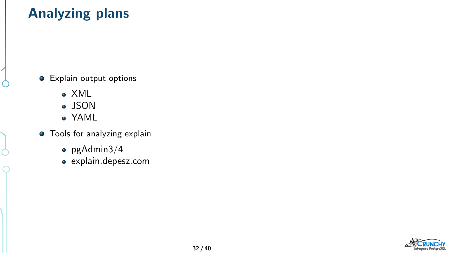# Analyzing plans

- **•** Explain output options
	- XML
	- JSON
	- YAML

Ò

- **•** Tools for analyzing explain
	- $\bullet$  pgAdmin3/4
	- explain.depesz.com

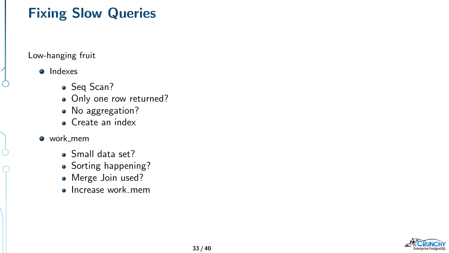## Fixing Slow Queries

#### Low-hanging fruit

#### **o** Indexes

- Seq Scan?
- Only one row returned?
- No aggregation?
- Create an index

#### • work\_mem

- Small data set?
- Sorting happening?
- Merge Join used?
- Increase work\_mem

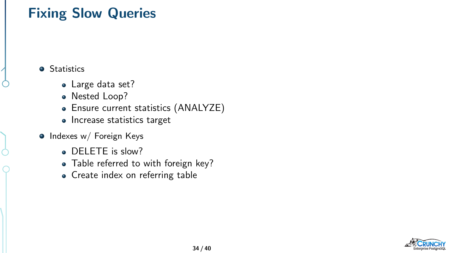## Fixing Slow Queries

**•** Statistics

- Large data set?
- Nested Loop?
- Ensure current statistics (ANALYZE)
- Increase statistics target
- **o** Indexes w/ Foreign Keys
	- DELETE is slow?
	- Table referred to with foreign key?
	- Create index on referring table

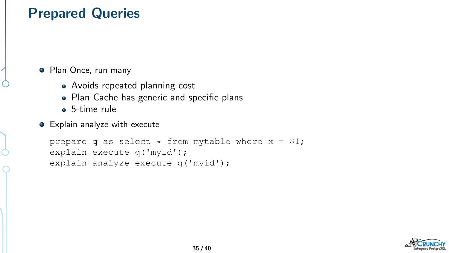#### Prepared Queries

**•** Plan Once, run many

- Avoids repeated planning cost
- Plan Cache has generic and specific plans
- **6**-time rule
- Explain analyze with execute

```
prepare q as select * from mytable where x = $1;explain execute q('myid');
explain analyze execute q('myid');
```
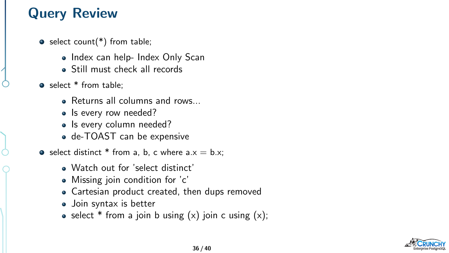# Query Review

- $\bullet$  select count(\*) from table;
	- Index can help- Index Only Scan
	- **Still must check all records**
- select \* from table:
	- Returns all columns and rows.
	- Is every row needed?
	- Is every column needed?
	- de-TOAST can be expensive

• select distinct  $*$  from a, b, c where  $a.x = b.x$ ;

- Watch out for 'select distinct'
- Missing join condition for 'c'
- Cartesian product created, then dups removed
- Join syntax is better
- select  $*$  from a join b using  $(x)$  join c using  $(x)$ ;

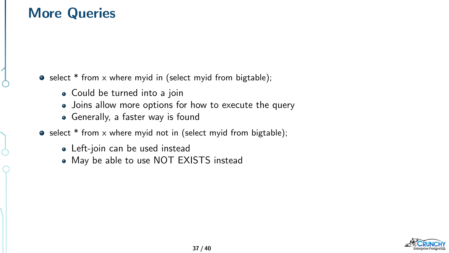#### More Queries

 $\bullet$  select \* from x where myid in (select myid from bigtable);

- Could be turned into a join
- Joins allow more options for how to execute the query
- Generally, a faster way is found
- $\bullet$  select  $*$  from x where myid not in (select myid from bigtable);
	- Left-join can be used instead
	- May be able to use NOT EXISTS instead

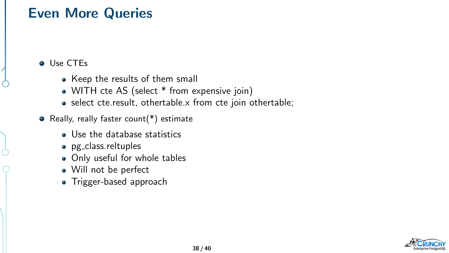#### Even More Queries

**O** Use CTEs

- Keep the results of them small
- WITH cte AS (select \* from expensive join)
- select cte.result, othertable.x from cte join othertable:
- Really, really faster count( $*$ ) estimate
	- **a** Use the database statistics
	- pg\_class.reltuples
	- Only useful for whole tables
	- Will not be perfect
	- Trigger-based approach

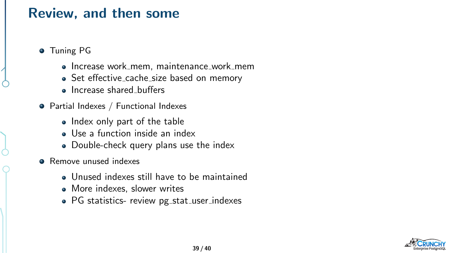#### Review, and then some

- **•** Tuning PG
	- Increase work mem, maintenance work mem
	- Set effective\_cache\_size based on memory
	- Increase shared buffers
- Partial Indexes / Functional Indexes
	- Index only part of the table
	- Use a function inside an index
	- Double-check query plans use the index
- **Remove unused indexes** 
	- Unused indexes still have to be maintained
	- More indexes, slower writes
	- PG statistics- review pg\_stat\_user\_indexes